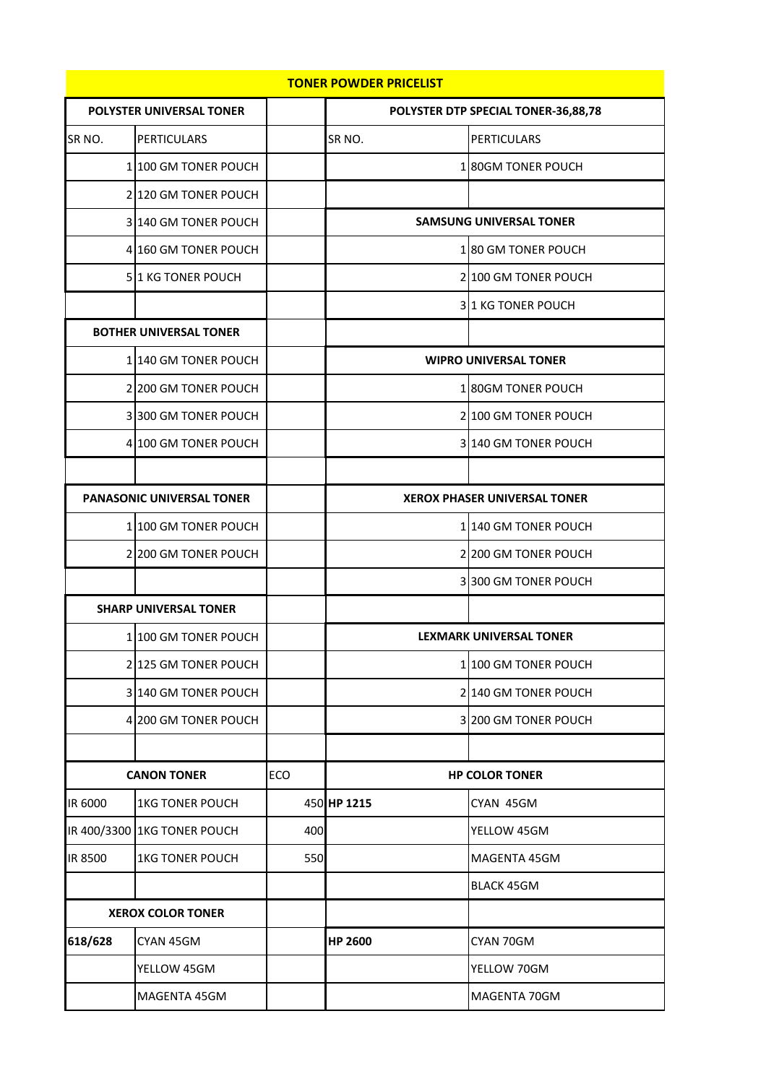| <b>TONER POWDER PRICELIST</b>   |                             |     |                                     |                                |  |  |  |  |
|---------------------------------|-----------------------------|-----|-------------------------------------|--------------------------------|--|--|--|--|
| <b>POLYSTER UNIVERSAL TONER</b> |                             |     | POLYSTER DTP SPECIAL TONER-36,88,78 |                                |  |  |  |  |
| SR <sub>NO</sub> .              | <b>PERTICULARS</b>          |     | SR <sub>NO</sub> .                  | <b>PERTICULARS</b>             |  |  |  |  |
|                                 | 1 100 GM TONER POUCH        |     |                                     | 180GM TONER POUCH              |  |  |  |  |
|                                 | 2 120 GM TONER POUCH        |     |                                     |                                |  |  |  |  |
|                                 | 3 140 GM TONER POUCH        |     |                                     | <b>SAMSUNG UNIVERSAL TONER</b> |  |  |  |  |
|                                 | 4 160 GM TONER POUCH        |     |                                     | 180 GM TONER POUCH             |  |  |  |  |
|                                 | 51 KG TONER POUCH           |     |                                     | 2 100 GM TONER POUCH           |  |  |  |  |
|                                 |                             |     |                                     | 31 KG TONER POUCH              |  |  |  |  |
| <b>BOTHER UNIVERSAL TONER</b>   |                             |     |                                     |                                |  |  |  |  |
|                                 | 1 140 GM TONER POUCH        |     | <b>WIPRO UNIVERSAL TONER</b>        |                                |  |  |  |  |
|                                 | 2 200 GM TONER POUCH        |     |                                     | 180GM TONER POUCH              |  |  |  |  |
|                                 | 3300 GM TONER POUCH         |     |                                     | 2 100 GM TONER POUCH           |  |  |  |  |
|                                 | 4 100 GM TONER POUCH        |     |                                     | 3 140 GM TONER POUCH           |  |  |  |  |
|                                 |                             |     |                                     |                                |  |  |  |  |
| PANASONIC UNIVERSAL TONER       |                             |     | <b>XEROX PHASER UNIVERSAL TONER</b> |                                |  |  |  |  |
|                                 | 1 100 GM TONER POUCH        |     |                                     | 1 140 GM TONER POUCH           |  |  |  |  |
|                                 | 2 200 GM TONER POUCH        |     |                                     | 2 200 GM TONER POUCH           |  |  |  |  |
|                                 |                             |     |                                     | 3 300 GM TONER POUCH           |  |  |  |  |
| <b>SHARP UNIVERSAL TONER</b>    |                             |     |                                     |                                |  |  |  |  |
|                                 | 1 100 GM TONER POUCH        |     |                                     | <b>LEXMARK UNIVERSAL TONER</b> |  |  |  |  |
|                                 | 2 125 GM TONER POUCH        |     |                                     | 1 100 GM TONER POUCH           |  |  |  |  |
|                                 | 3 140 GM TONER POUCH        |     |                                     | 2 140 GM TONER POUCH           |  |  |  |  |
|                                 | 4 200 GM TONER POUCH        |     |                                     | 3 200 GM TONER POUCH           |  |  |  |  |
|                                 |                             |     |                                     |                                |  |  |  |  |
| <b>CANON TONER</b>              |                             | ECO | <b>HP COLOR TONER</b>               |                                |  |  |  |  |
| IR 6000                         | <b>1KG TONER POUCH</b>      |     | 450 HP 1215                         | CYAN 45GM                      |  |  |  |  |
|                                 | IR 400/3300 1KG TONER POUCH | 400 |                                     | YELLOW 45GM                    |  |  |  |  |
| IR 8500                         | <b>1KG TONER POUCH</b>      | 550 |                                     | MAGENTA 45GM                   |  |  |  |  |
|                                 |                             |     |                                     | <b>BLACK 45GM</b>              |  |  |  |  |
| <b>XEROX COLOR TONER</b>        |                             |     |                                     |                                |  |  |  |  |
| 618/628                         | CYAN 45GM                   |     | <b>HP 2600</b>                      | CYAN 70GM                      |  |  |  |  |
|                                 | YELLOW 45GM                 |     |                                     | YELLOW 70GM                    |  |  |  |  |
|                                 | MAGENTA 45GM                |     |                                     | MAGENTA 70GM                   |  |  |  |  |